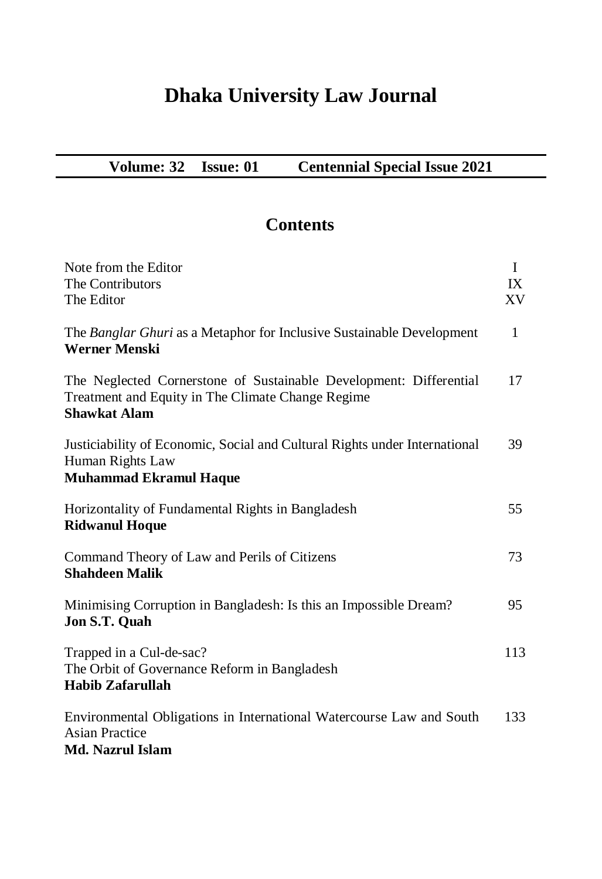## **Dhaka University Law Journal**

| Volume: 32 | <b>Issue: 01</b> | <b>Centennial Special Issue 2021</b> |
|------------|------------------|--------------------------------------|
|------------|------------------|--------------------------------------|

## **Contents**

| Note from the Editor<br>The Contributors<br>The Editor                                                                                         | $\mathbf I$<br>IX<br>XV |
|------------------------------------------------------------------------------------------------------------------------------------------------|-------------------------|
| The Banglar Ghuri as a Metaphor for Inclusive Sustainable Development<br><b>Werner Menski</b>                                                  | $\mathbf{1}$            |
| The Neglected Cornerstone of Sustainable Development: Differential<br>Treatment and Equity in The Climate Change Regime<br><b>Shawkat Alam</b> | 17                      |
| Justiciability of Economic, Social and Cultural Rights under International<br>Human Rights Law<br><b>Muhammad Ekramul Haque</b>                | 39                      |
| Horizontality of Fundamental Rights in Bangladesh<br><b>Ridwanul Hoque</b>                                                                     | 55                      |
| Command Theory of Law and Perils of Citizens<br><b>Shahdeen Malik</b>                                                                          | 73                      |
| Minimising Corruption in Bangladesh: Is this an Impossible Dream?<br>Jon S.T. Quah                                                             | 95                      |
| Trapped in a Cul-de-sac?<br>The Orbit of Governance Reform in Bangladesh<br><b>Habib Zafarullah</b>                                            |                         |
| Environmental Obligations in International Watercourse Law and South<br><b>Asian Practice</b><br>Md. Nazrul Islam                              | 133                     |